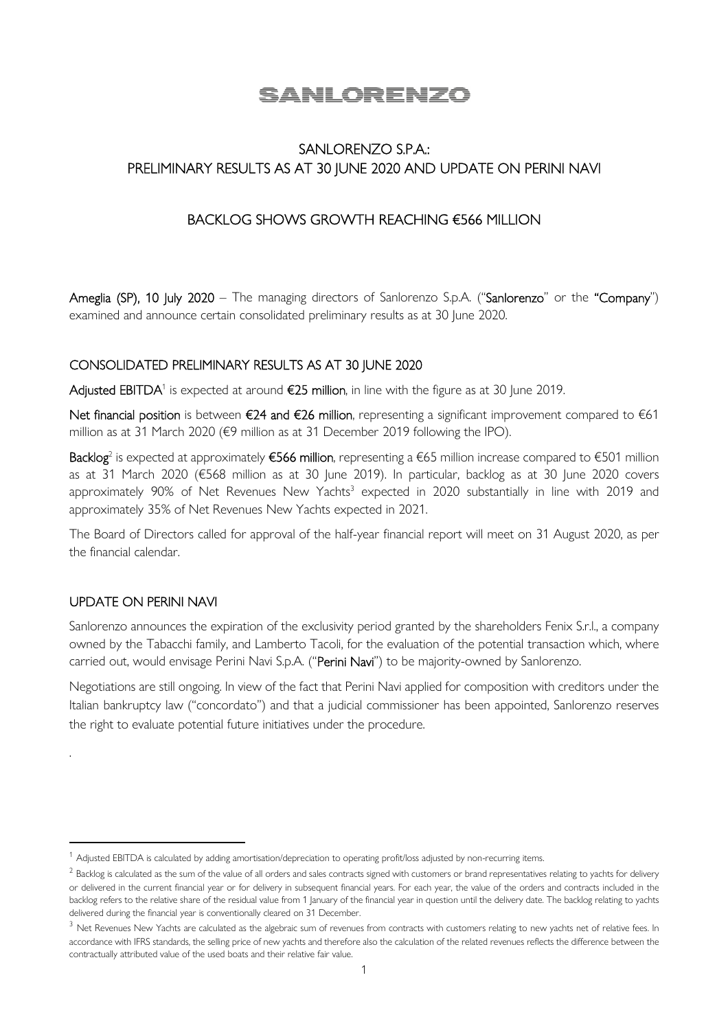# SANLORENZO

# SANLORENZO S.P.A.: PRELIMINARY RESULTS AS AT 30 JUNE 2020 AND UPDATE ON PERINI NAVI

## BACKLOG SHOWS GROWTH REACHING €566 MILLION

Ameglia (SP), 10 July 2020 – The managing directors of Sanlorenzo S.p.A. ("Sanlorenzo" or the "Company") examined and announce certain consolidated preliminary results as at 30 June 2020.

### CONSOLIDATED PRELIMINARY RESULTS AS AT 30 JUNE 2020

**Adjusted EBITDA**<sup>1</sup> is expected at around **€25 million**, in line with the figure as at 30 June 2019.

Net financial position is between €24 and €26 million, representing a significant improvement compared to €61 million as at 31 March 2020 (€9 million as at 31 December 2019 following the IPO).

**Backlog**<sup>2</sup> is expected at approximately **€566 million**, representing a €65 million increase compared to €501 million as at 31 March 2020 (€568 million as at 30 June 2019). In particular, backlog as at 30 June 2020 covers approximately 90% of Net Revenues New Yachts<sup>3</sup> expected in 2020 substantially in line with 2019 and approximately 35% of Net Revenues New Yachts expected in 2021.

The Board of Directors called for approval of the half-year financial report will meet on 31 August 2020, as per the financial calendar.

### UPDATE ON PERINI NAVI

.

Sanlorenzo announces the expiration of the exclusivity period granted by the shareholders Fenix S.r.l., a company owned by the Tabacchi family, and Lamberto Tacoli, for the evaluation of the potential transaction which, where carried out, would envisage Perini Navi S.p.A. ("Perini Navi") to be majority-owned by Sanlorenzo.

Negotiations are still ongoing. In view of the fact that Perini Navi applied for composition with creditors under the Italian bankruptcy law ("concordato") and that a judicial commissioner has been appointed, Sanlorenzo reserves the right to evaluate potential future initiatives under the procedure.

<sup>&</sup>lt;sup>1</sup> Adjusted EBITDA is calculated by adding amortisation/depreciation to operating profit/loss adjusted by non-recurring items.

 $^2$  Backlog is calculated as the sum of the value of all orders and sales contracts signed with customers or brand representatives relating to yachts for delivery or delivered in the current financial year or for delivery in subsequent financial years. For each year, the value of the orders and contracts included in the backlog refers to the relative share of the residual value from 1 January of the financial year in question until the delivery date. The backlog relating to yachts delivered during the financial year is conventionally cleared on 31 December.

<sup>&</sup>lt;sup>3</sup> Net Revenues New Yachts are calculated as the algebraic sum of revenues from contracts with customers relating to new yachts net of relative fees. In accordance with IFRS standards, the selling price of new yachts and therefore also the calculation of the related revenues reflects the difference between the contractually attributed value of the used boats and their relative fair value.